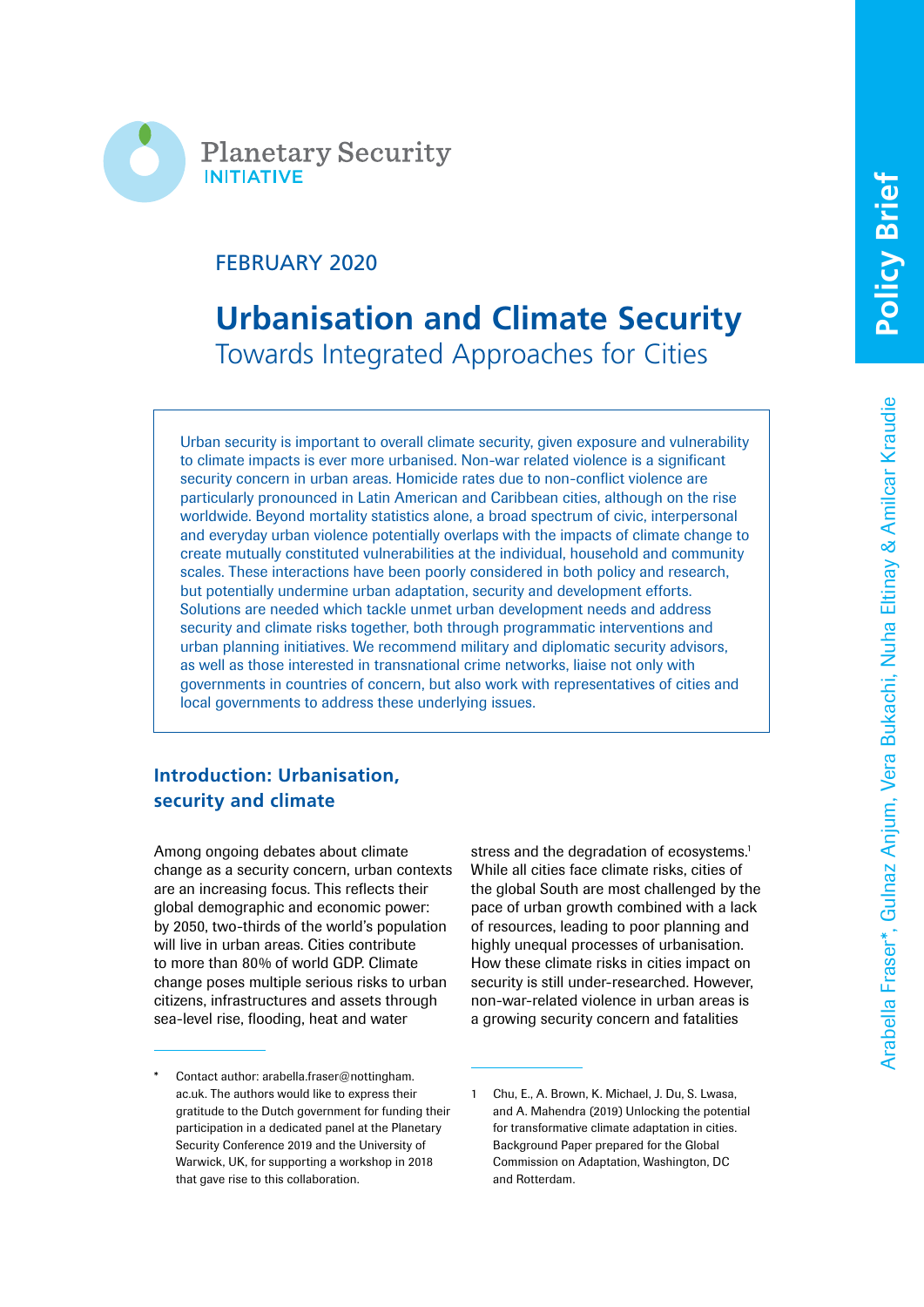

# FEBRUARY 2020

# **Urbanisation and Climate Security** Towards Integrated Approaches for Cities

Urban security is important to overall climate security, given exposure and vulnerability to climate impacts is ever more urbanised. Non-war related violence is a significant security concern in urban areas. Homicide rates due to non-conflict violence are particularly pronounced in Latin American and Caribbean cities, although on the rise worldwide. Beyond mortality statistics alone, a broad spectrum of civic, interpersonal and everyday urban violence potentially overlaps with the impacts of climate change to create mutually constituted vulnerabilities at the individual, household and community scales. These interactions have been poorly considered in both policy and research, but potentially undermine urban adaptation, security and development efforts. Solutions are needed which tackle unmet urban development needs and address security and climate risks together, both through programmatic interventions and urban planning initiatives. We recommend military and diplomatic security advisors, as well as those interested in transnational crime networks, liaise not only with governments in countries of concern, but also work with representatives of cities and local governments to address these underlying issues.

# **Introduction: Urbanisation, security and climate**

Among ongoing debates about climate change as a security concern, urban contexts are an increasing focus. This reflects their global demographic and economic power: by 2050, two-thirds of the world's population will live in urban areas. Cities contribute to more than 80% of world GDP. Climate change poses multiple serious risks to urban citizens, infrastructures and assets through sea-level rise, flooding, heat and water

stress and the degradation of ecosystems.<sup>1</sup> While all cities face climate risks, cities of the global South are most challenged by the pace of urban growth combined with a lack of resources, leading to poor planning and highly unequal processes of urbanisation. How these climate risks in cities impact on security is still under-researched. However, non-war-related violence in urban areas is a growing security concern and fatalities

Contact author: arabella.fraser@nottingham. ac.uk. The authors would like to express their gratitude to the Dutch government for funding their participation in a dedicated panel at the Planetary Security Conference 2019 and the University of Warwick, UK, for supporting a workshop in 2018 that gave rise to this collaboration.

<sup>1</sup> Chu, E., A. Brown, K. Michael, J. Du, S. Lwasa, and A. Mahendra (2019) Unlocking the potential for transformative climate adaptation in cities. Background Paper prepared for the Global Commission on Adaptation, Washington, DC and Rotterdam.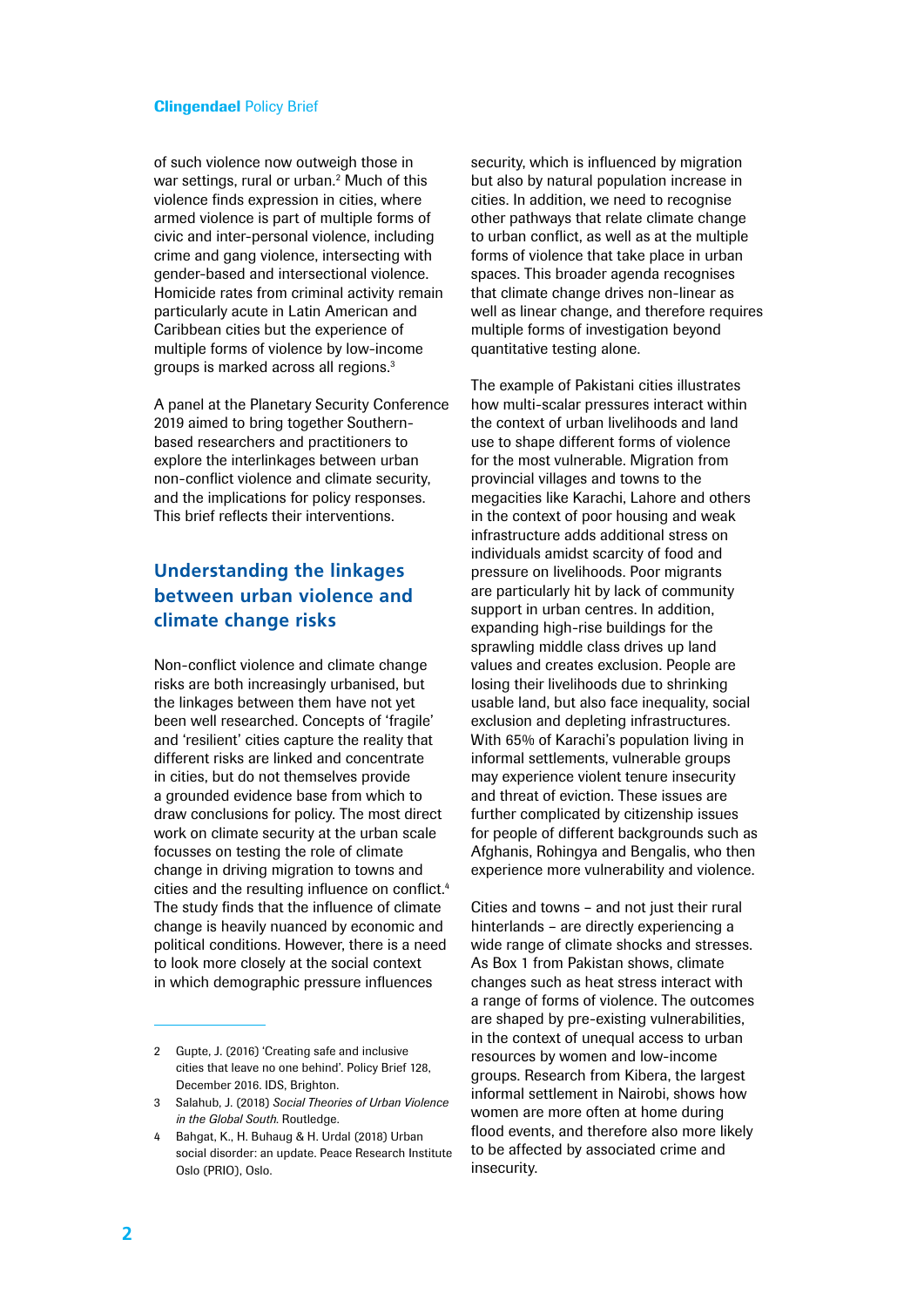#### Clingendael Policy Brief

of such violence now outweigh those in war settings, rural or urban.<sup>2</sup> Much of this violence finds expression in cities, where armed violence is part of multiple forms of civic and inter-personal violence, including crime and gang violence, intersecting with gender-based and intersectional violence. Homicide rates from criminal activity remain particularly acute in Latin American and Caribbean cities but the experience of multiple forms of violence by low-income groups is marked across all regions.3

A panel at the Planetary Security Conference 2019 aimed to bring together Southernbased researchers and practitioners to explore the interlinkages between urban non-conflict violence and climate security, and the implications for policy responses. This brief reflects their interventions.

# **Understanding the linkages between urban violence and climate change risks**

Non-conflict violence and climate change risks are both increasingly urbanised, but the linkages between them have not yet been well researched. Concepts of 'fragile' and 'resilient' cities capture the reality that different risks are linked and concentrate in cities, but do not themselves provide a grounded evidence base from which to draw conclusions for policy. The most direct work on climate security at the urban scale focusses on testing the role of climate change in driving migration to towns and cities and the resulting influence on conflict.<sup>4</sup> The study finds that the influence of climate change is heavily nuanced by economic and political conditions. However, there is a need to look more closely at the social context in which demographic pressure influences

security, which is influenced by migration but also by natural population increase in cities. In addition, we need to recognise other pathways that relate climate change to urban conflict, as well as at the multiple forms of violence that take place in urban spaces. This broader agenda recognises that climate change drives non-linear as well as linear change, and therefore requires multiple forms of investigation beyond quantitative testing alone.

The example of Pakistani cities illustrates how multi-scalar pressures interact within the context of urban livelihoods and land use to shape different forms of violence for the most vulnerable. Migration from provincial villages and towns to the megacities like Karachi, Lahore and others in the context of poor housing and weak infrastructure adds additional stress on individuals amidst scarcity of food and pressure on livelihoods. Poor migrants are particularly hit by lack of community support in urban centres. In addition, expanding high-rise buildings for the sprawling middle class drives up land values and creates exclusion. People are losing their livelihoods due to shrinking usable land, but also face inequality, social exclusion and depleting infrastructures. With 65% of Karachi's population living in informal settlements, vulnerable groups may experience violent tenure insecurity and threat of eviction. These issues are further complicated by citizenship issues for people of different backgrounds such as Afghanis, Rohingya and Bengalis, who then experience more vulnerability and violence.

Cities and towns – and not just their rural hinterlands – are directly experiencing a wide range of climate shocks and stresses. As Box 1 from Pakistan shows, climate changes such as heat stress interact with a range of forms of violence. The outcomes are shaped by pre-existing vulnerabilities, in the context of unequal access to urban resources by women and low-income groups. Research from Kibera, the largest informal settlement in Nairobi, shows how women are more often at home during flood events, and therefore also more likely to be affected by associated crime and insecurity.

<sup>2</sup> Gupte, J. (2016) 'Creating safe and inclusive cities that leave no one behind'. Policy Brief 128, December 2016. IDS, Brighton.

<sup>3</sup> Salahub, J. (2018) *Social Theories of Urban Violence in the Global South*. Routledge.

<sup>4</sup> Bahgat, K., H. Buhaug & H. Urdal (2018) Urban social disorder: an update. Peace Research Institute Oslo (PRIO), Oslo.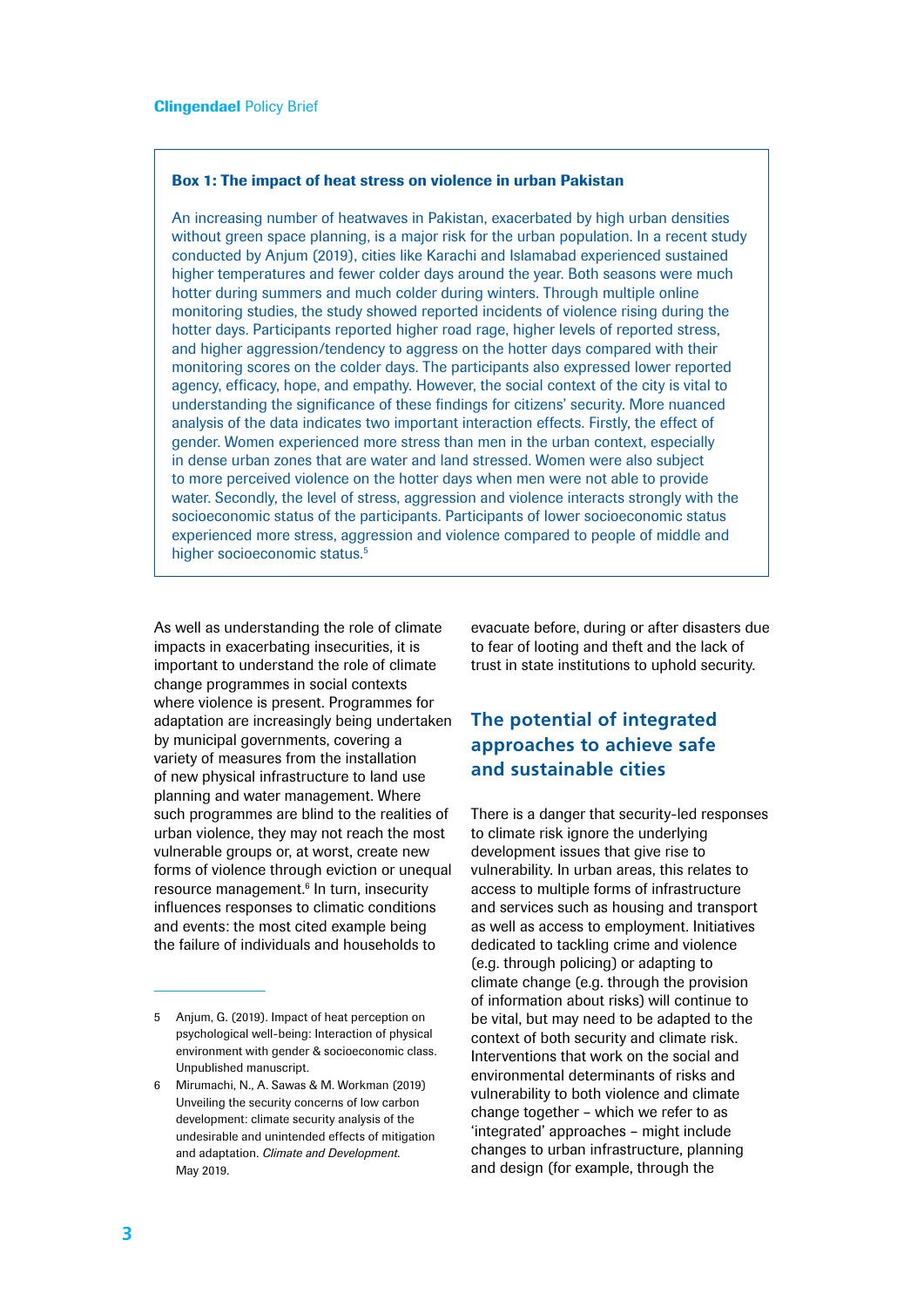#### Box 1: The impact of heat stress on violence in urban Pakistan

An increasing number of heatwaves in Pakistan, exacerbated by high urban densities without green space planning, is a major risk for the urban population. In a recent study conducted by Anjum (2019), cities like Karachi and Islamabad experienced sustained higher temperatures and fewer colder days around the year. Both seasons were much hotter during summers and much colder during winters. Through multiple online monitoring studies, the study showed reported incidents of violence rising during the hotter days. Participants reported higher road rage, higher levels of reported stress, and higher aggression/tendency to aggress on the hotter days compared with their monitoring scores on the colder days. The participants also expressed lower reported agency, efficacy, hope, and empathy. However, the social context of the city is vital to understanding the significance of these findings for citizens' security. More nuanced analysis of the data indicates two important interaction effects. Firstly, the effect of gender. Women experienced more stress than men in the urban context, especially in dense urban zones that are water and land stressed. Women were also subject to more perceived violence on the hotter days when men were not able to provide water. Secondly, the level of stress, aggression and violence interacts strongly with the socioeconomic status of the participants. Participants of lower socioeconomic status experienced more stress, aggression and violence compared to people of middle and higher socioeconomic status.<sup>5</sup>

As well as understanding the role of climate impacts in exacerbating insecurities, it is important to understand the role of climate change programmes in social contexts where violence is present. Programmes for adaptation are increasingly being undertaken by municipal governments, covering a variety of measures from the installation of new physical infrastructure to land use planning and water management. Where such programmes are blind to the realities of urban violence, they may not reach the most vulnerable groups or, at worst, create new forms of violence through eviction or unequal resource management.<sup>6</sup> In turn, insecurity influences responses to climatic conditions and events: the most cited example being the failure of individuals and households to

evacuate before, during or after disasters due to fear of looting and theft and the lack of trust in state institutions to uphold security.

### **The potential of integrated approaches to achieve safe and sustainable cities**

There is a danger that security-led responses to climate risk ignore the underlying development issues that give rise to vulnerability. In urban areas, this relates to access to multiple forms of infrastructure and services such as housing and transport as well as access to employment. Initiatives dedicated to tackling crime and violence (e.g. through policing) or adapting to climate change (e.g. through the provision of information about risks) will continue to be vital, but may need to be adapted to the context of both security and climate risk. Interventions that work on the social and environmental determinants of risks and vulnerability to both violence and climate change together – which we refer to as 'integrated' approaches – might include changes to urban infrastructure, planning and design (for example, through the

<sup>5</sup> Anjum, G. (2019). Impact of heat perception on psychological well-being: Interaction of physical environment with gender & socioeconomic class. Unpublished manuscript.

<sup>6</sup> Mirumachi, N., A. Sawas & M. Workman (2019) Unveiling the security concerns of low carbon development: climate security analysis of the undesirable and unintended effects of mitigation and adaptation. *Climate and Development*. May 2019.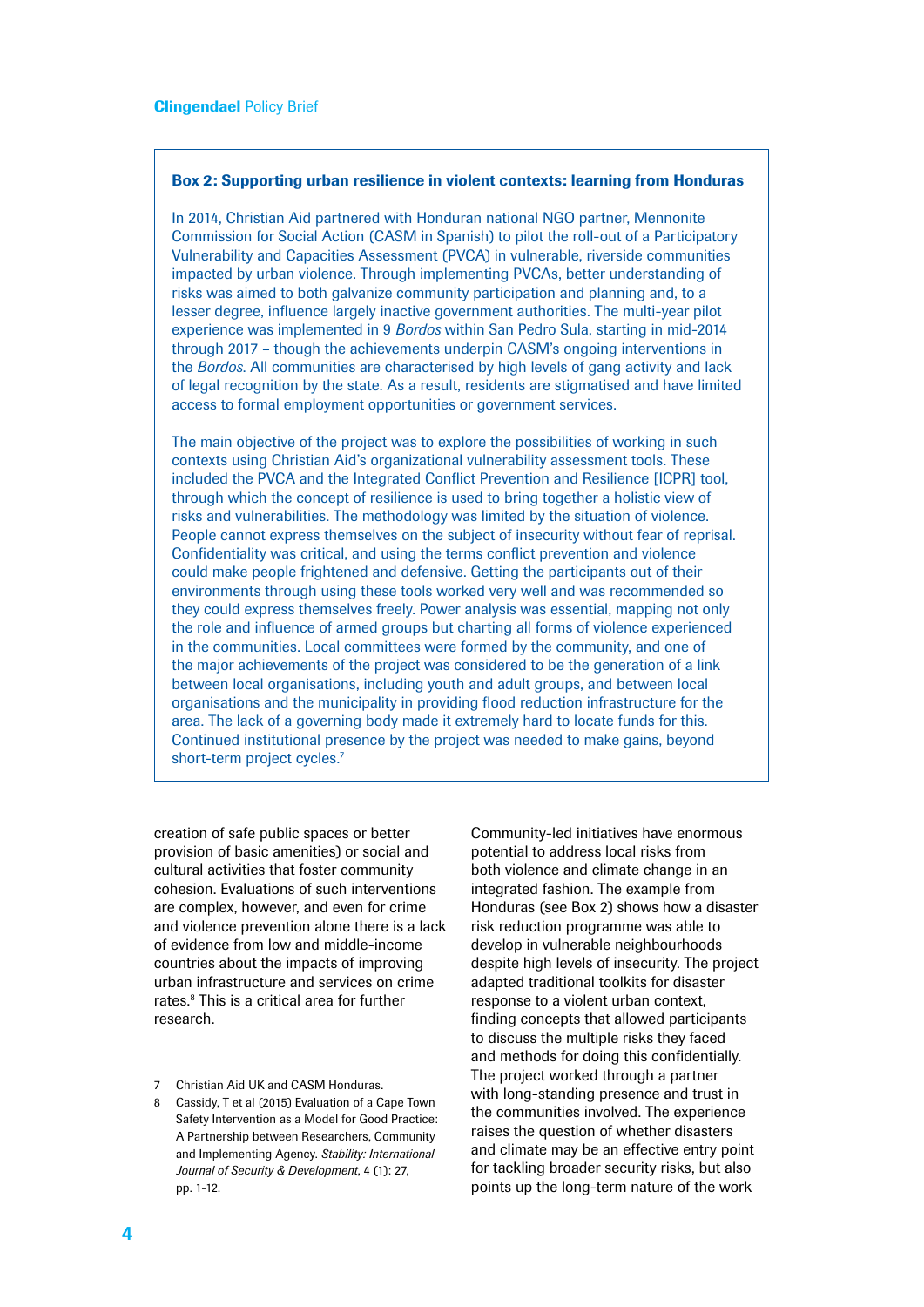#### Box 2: Supporting urban resilience in violent contexts: learning from Honduras

In 2014, Christian Aid partnered with Honduran national NGO partner, Mennonite Commission for Social Action (CASM in Spanish) to pilot the roll-out of a Participatory Vulnerability and Capacities Assessment (PVCA) in vulnerable, riverside communities impacted by urban violence. Through implementing PVCAs, better understanding of risks was aimed to both galvanize community participation and planning and, to a lesser degree, influence largely inactive government authorities. The multi-year pilot experience was implemented in 9 *Bordos* within San Pedro Sula, starting in mid-2014 through 2017 – though the achievements underpin CASM's ongoing interventions in the *Bordos*. All communities are characterised by high levels of gang activity and lack of legal recognition by the state. As a result, residents are stigmatised and have limited access to formal employment opportunities or government services.

The main objective of the project was to explore the possibilities of working in such contexts using Christian Aid's organizational vulnerability assessment tools. These included the PVCA and the Integrated Conflict Prevention and Resilience [ICPR] tool, through which the concept of resilience is used to bring together a holistic view of risks and vulnerabilities. The methodology was limited by the situation of violence. People cannot express themselves on the subject of insecurity without fear of reprisal. Confidentiality was critical, and using the terms conflict prevention and violence could make people frightened and defensive. Getting the participants out of their environments through using these tools worked very well and was recommended so they could express themselves freely. Power analysis was essential, mapping not only the role and influence of armed groups but charting all forms of violence experienced in the communities. Local committees were formed by the community, and one of the major achievements of the project was considered to be the generation of a link between local organisations, including youth and adult groups, and between local organisations and the municipality in providing flood reduction infrastructure for the area. The lack of a governing body made it extremely hard to locate funds for this. Continued institutional presence by the project was needed to make gains, beyond short-term project cycles.<sup>7</sup>

creation of safe public spaces or better provision of basic amenities) or social and cultural activities that foster community cohesion. Evaluations of such interventions are complex, however, and even for crime and violence prevention alone there is a lack of evidence from low and middle-income countries about the impacts of improving urban infrastructure and services on crime rates.<sup>8</sup> This is a critical area for further research.

Community-led initiatives have enormous potential to address local risks from both violence and climate change in an integrated fashion. The example from Honduras (see Box 2) shows how a disaster risk reduction programme was able to develop in vulnerable neighbourhoods despite high levels of insecurity. The project adapted traditional toolkits for disaster response to a violent urban context, finding concepts that allowed participants to discuss the multiple risks they faced and methods for doing this confidentially. The project worked through a partner with long-standing presence and trust in the communities involved. The experience raises the question of whether disasters and climate may be an effective entry point for tackling broader security risks, but also points up the long-term nature of the work

<sup>7</sup> Christian Aid UK and CASM Honduras.

<sup>8</sup> Cassidy, T et al (2015) Evaluation of a Cape Town Safety Intervention as a Model for Good Practice: A Partnership between Researchers, Community and Implementing Agency. *Stability: International Journal of Security & Development*, 4 (1): 27, pp. 1-12.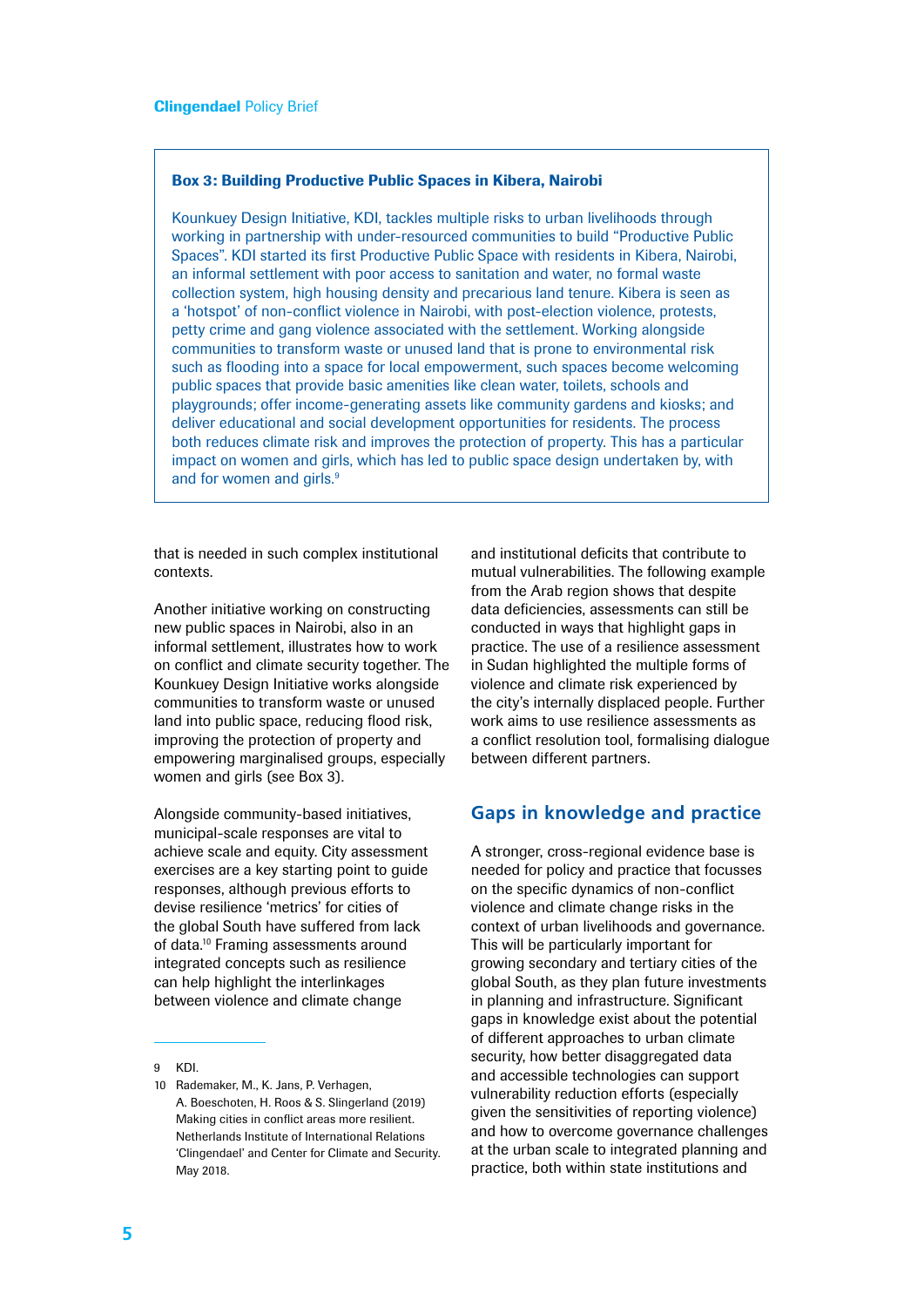#### Box 3: Building Productive Public Spaces in Kibera, Nairobi

Kounkuey Design Initiative, KDI, tackles multiple risks to urban livelihoods through working in partnership with under-resourced communities to build "Productive Public Spaces". KDI started its first Productive Public Space with residents in Kibera, Nairobi, an informal settlement with poor access to sanitation and water, no formal waste collection system, high housing density and precarious land tenure. Kibera is seen as a 'hotspot' of non-conflict violence in Nairobi, with post-election violence, protests, petty crime and gang violence associated with the settlement. Working alongside communities to transform waste or unused land that is prone to environmental risk such as flooding into a space for local empowerment, such spaces become welcoming public spaces that provide basic amenities like clean water, toilets, schools and playgrounds; offer income-generating assets like community gardens and kiosks; and deliver educational and social development opportunities for residents. The process both reduces climate risk and improves the protection of property. This has a particular impact on women and girls, which has led to public space design undertaken by, with and for women and girls.<sup>9</sup>

that is needed in such complex institutional contexts.9

Another initiative working on constructing new public spaces in Nairobi, also in an informal settlement, illustrates how to work on conflict and climate security together. The Kounkuey Design Initiative works alongside communities to transform waste or unused land into public space, reducing flood risk, improving the protection of property and empowering marginalised groups, especially women and girls (see Box 3).

Alongside community-based initiatives, municipal-scale responses are vital to achieve scale and equity. City assessment exercises are a key starting point to guide responses, although previous efforts to devise resilience 'metrics' for cities of the global South have suffered from lack of data.<sup>10</sup> Framing assessments around integrated concepts such as resilience can help highlight the interlinkages between violence and climate change

and institutional deficits that contribute to mutual vulnerabilities. The following example from the Arab region shows that despite data deficiencies, assessments can still be conducted in ways that highlight gaps in practice. The use of a resilience assessment in Sudan highlighted the multiple forms of violence and climate risk experienced by the city's internally displaced people. Further work aims to use resilience assessments as a conflict resolution tool, formalising dialogue between different partners.

### **Gaps in knowledge and practice**

A stronger, cross-regional evidence base is needed for policy and practice that focusses on the specific dynamics of non-conflict violence and climate change risks in the context of urban livelihoods and governance. This will be particularly important for growing secondary and tertiary cities of the global South, as they plan future investments in planning and infrastructure. Significant gaps in knowledge exist about the potential of different approaches to urban climate security, how better disaggregated data and accessible technologies can support vulnerability reduction efforts (especially given the sensitivities of reporting violence) and how to overcome governance challenges at the urban scale to integrated planning and practice, both within state institutions and

<sup>9</sup> KDI.

<sup>10</sup> Rademaker, M., K. Jans, P. Verhagen, A. Boeschoten, H. Roos & S. Slingerland (2019) Making cities in conflict areas more resilient. Netherlands Institute of International Relations 'Clingendael' and Center for Climate and Security. May 2018.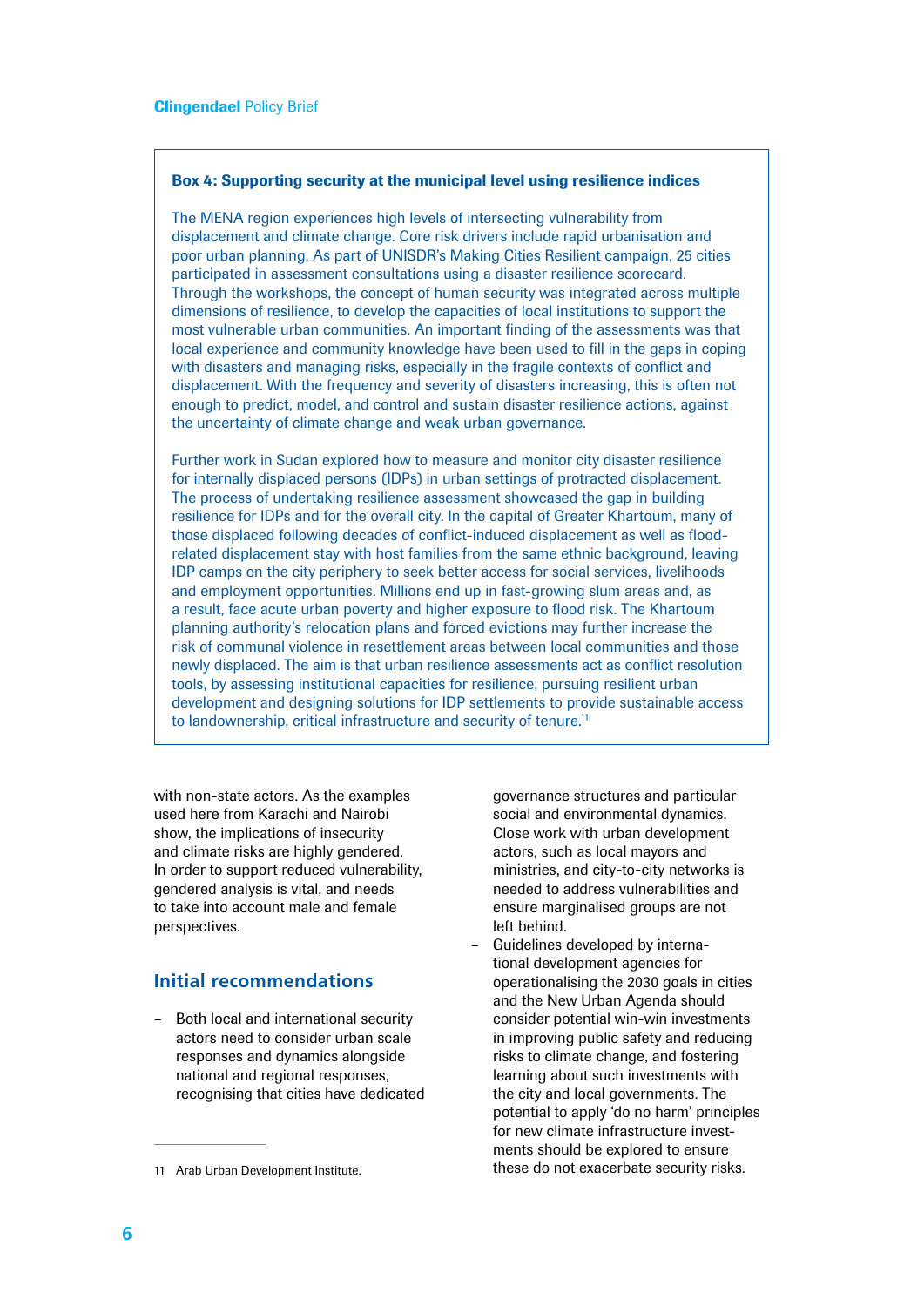#### Box 4: Supporting security at the municipal level using resilience indices

The MENA region experiences high levels of intersecting vulnerability from displacement and climate change. Core risk drivers include rapid urbanisation and poor urban planning. As part of UNISDR's Making Cities Resilient campaign, 25 cities participated in assessment consultations using a disaster resilience scorecard. Through the workshops, the concept of human security was integrated across multiple dimensions of resilience, to develop the capacities of local institutions to support the most vulnerable urban communities. An important finding of the assessments was that local experience and community knowledge have been used to fill in the gaps in coping with disasters and managing risks, especially in the fragile contexts of conflict and displacement. With the frequency and severity of disasters increasing, this is often not enough to predict, model, and control and sustain disaster resilience actions, against the uncertainty of climate change and weak urban governance.

Further work in Sudan explored how to measure and monitor city disaster resilience for internally displaced persons (IDPs) in urban settings of protracted displacement. The process of undertaking resilience assessment showcased the gap in building resilience for IDPs and for the overall city. In the capital of Greater Khartoum, many of those displaced following decades of conflict-induced displacement as well as floodrelated displacement stay with host families from the same ethnic background, leaving IDP camps on the city periphery to seek better access for social services, livelihoods and employment opportunities. Millions end up in fast-growing slum areas and, as a result, face acute urban poverty and higher exposure to flood risk. The Khartoum planning authority's relocation plans and forced evictions may further increase the risk of communal violence in resettlement areas between local communities and those newly displaced. The aim is that urban resilience assessments act as conflict resolution tools, by assessing institutional capacities for resilience, pursuing resilient urban development and designing solutions for IDP settlements to provide sustainable access to landownership, critical infrastructure and security of tenure.<sup>11</sup>

with non-state actors. As the examples used here from Karachi and Nairobi show, the implications of insecurity and climate risks are highly gendered. In order to support reduced vulnerability, gendered analysis is vital, and needs to take into account male and female perspectives.

### **Initial recommendations**

– Both local and international security actors need to consider urban scale responses and dynamics alongside national and regional responses, recognising that cities have dedicated governance structures and particular social and environmental dynamics. Close work with urban development actors, such as local mayors and ministries, and city-to-city networks is needed to address vulnerabilities and ensure marginalised groups are not left behind.

– Guidelines developed by international development agencies for operationalising the 2030 goals in cities and the New Urban Agenda should consider potential win-win investments in improving public safety and reducing risks to climate change, and fostering learning about such investments with the city and local governments. The potential to apply 'do no harm' principles for new climate infrastructure investments should be explored to ensure these do not exacerbate security risks.

<sup>11</sup> Arab Urban Development Institute.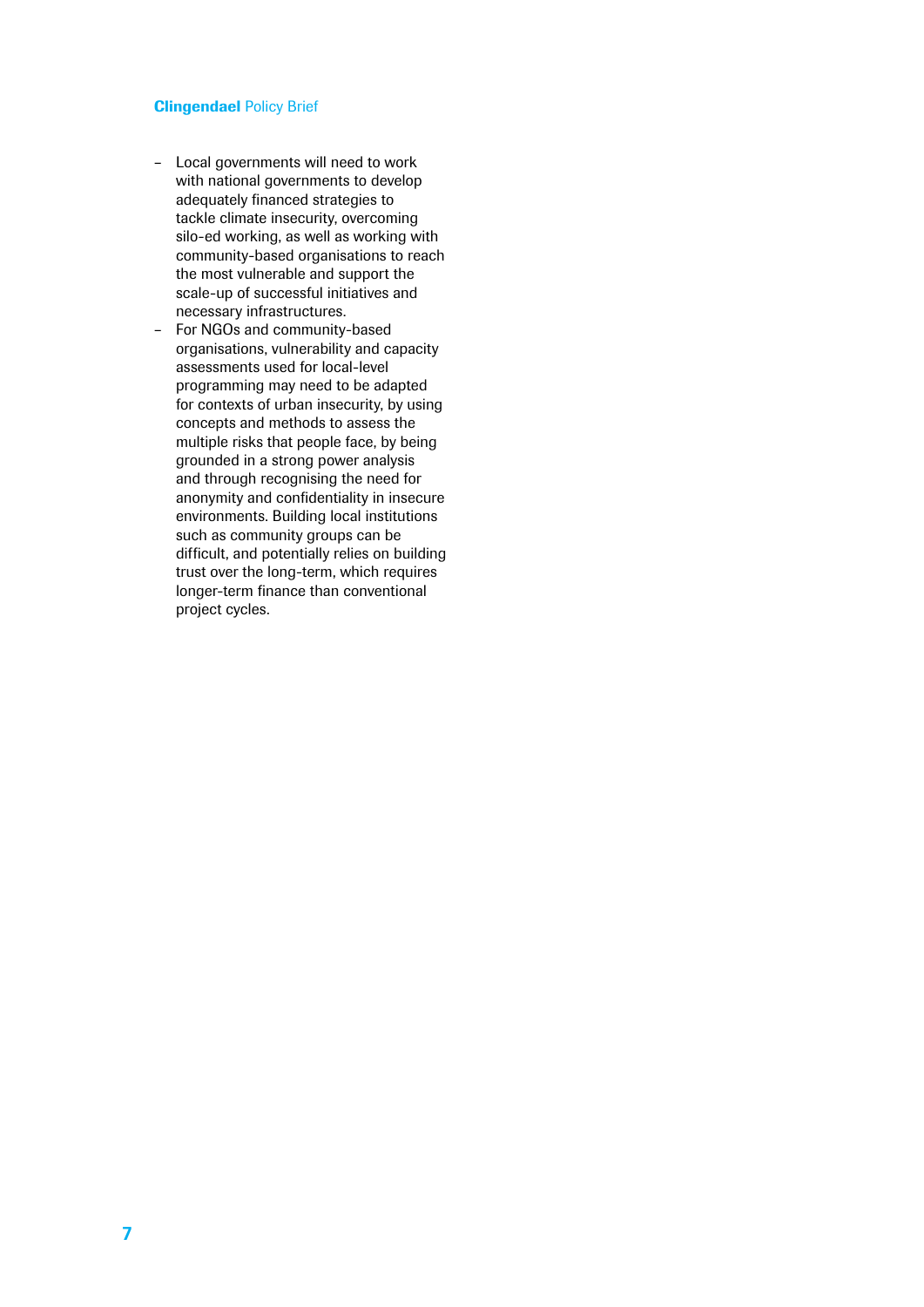#### Clingendael Policy Brief

- Local governments will need to work with national governments to develop adequately financed strategies to tackle climate insecurity, overcoming silo-ed working, as well as working with community-based organisations to reach the most vulnerable and support the scale-up of successful initiatives and necessary infrastructures.
- For NGOs and community-based organisations, vulnerability and capacity assessments used for local-level programming may need to be adapted for contexts of urban insecurity, by using concepts and methods to assess the multiple risks that people face, by being grounded in a strong power analysis and through recognising the need for anonymity and confidentiality in insecure environments. Building local institutions such as community groups can be difficult, and potentially relies on building trust over the long-term, which requires longer-term finance than conventional project cycles.